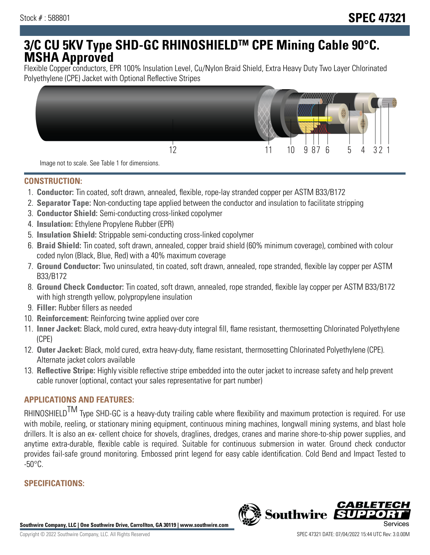# **3/C CU 5KV Type SHD-GC RHINOSHIELDTM CPE Mining Cable 90°C. MSHA Approved**

Flexible Copper conductors, EPR 100% Insulation Level, Cu/Nylon Braid Shield, Extra Heavy Duty Two Layer Chlorinated Polyethylene (CPE) Jacket with Optional Reflective Stripes



Image not to scale. See Table 1 for dimensions.

### **CONSTRUCTION:**

- 1. **Conductor:** Tin coated, soft drawn, annealed, flexible, rope-lay stranded copper per ASTM B33/B172
- 2. **Separator Tape:** Non-conducting tape applied between the conductor and insulation to facilitate stripping
- 3. **Conductor Shield:** Semi-conducting cross-linked copolymer
- 4. **Insulation:** Ethylene Propylene Rubber (EPR)
- 5. **Insulation Shield:** Strippable semi-conducting cross-linked copolymer
- 6. **Braid Shield:** Tin coated, soft drawn, annealed, copper braid shield (60% minimum coverage), combined with colour coded nylon (Black, Blue, Red) with a 40% maximum coverage
- 7. **Ground Conductor:** Two uninsulated, tin coated, soft drawn, annealed, rope stranded, flexible lay copper per ASTM B33/B172
- 8. **Ground Check Conductor:** Tin coated, soft drawn, annealed, rope stranded, flexible lay copper per ASTM B33/B172 with high strength yellow, polypropylene insulation
- 9. **Filler:** Rubber fillers as needed
- 10. **Reinforcement:** Reinforcing twine applied over core
- 11. **Inner Jacket:** Black, mold cured, extra heavy-duty integral fill, flame resistant, thermosetting Chlorinated Polyethylene (CPE)
- 12. **Outer Jacket:** Black, mold cured, extra heavy-duty, flame resistant, thermosetting Chlorinated Polyethylene (CPE). Alternate jacket colors available
- 13. **Reflective Stripe:** Highly visible reflective stripe embedded into the outer jacket to increase safety and help prevent cable runover (optional, contact your sales representative for part number)

## **APPLICATIONS AND FEATURES:**

RHINOSHIELD<sup>TM</sup> Type SHD-GC is a heavy-duty trailing cable where flexibility and maximum protection is required. For use with mobile, reeling, or stationary mining equipment, continuous mining machines, longwall mining systems, and blast hole drillers. It is also an ex- cellent choice for shovels, draglines, dredges, cranes and marine shore-to-ship power supplies, and anytime extra-durable, flexible cable is required. Suitable for continuous submersion in water. Ground check conductor provides fail-safe ground monitoring. Embossed print legend for easy cable identification. Cold Bend and Impact Tested to  $-50^{\circ}$ C.

# **SPECIFICATIONS:**

**Southwire Company, LLC | One Southwire Drive, Carrollton, GA 30119 | www.southwire.com**

**Southwire** 

*CABL*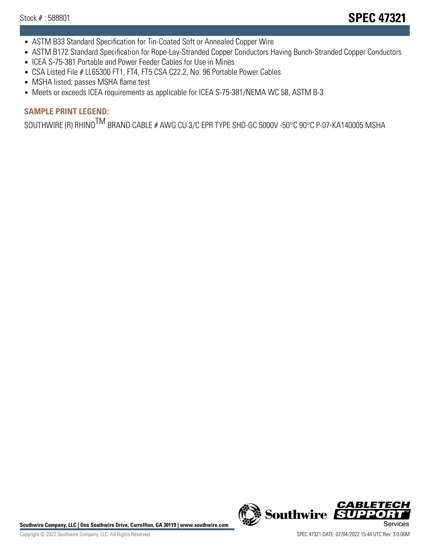- ASTM B33 Standard Specification for Tin-Coated Soft or Annealed Copper Wire
- ASTM B172 Standard Specification for Rope-Lay-Stranded Copper Conductors Having Bunch-Stranded Copper Conductors
- ICEA S-75-381 Portable and Power Feeder Cables for Use in Mines
- CSA Listed File # LL65300 FT1, FT4, FT5 CSA C22.2, No. 96 Portable Power Cables
- MSHA listed: passes MSHA flame test
- Meets or exceeds ICEA requirements as applicable for ICEA S-75-381/NEMA WC 58, ASTM B-3

# **SAMPLE PRINT LEGEND:**

SOUTHWIRE (R) RHINO<sup>TM</sup> BRAND CABLE # AWG CU 3/C EPR TYPE SHD-GC 5000V -50°C 90°C P-07-KA140005 MSHA

Southwire Company, LLC | One Southwire Drive, Carrollton, GA 30119 | www.southwire.com **Second Company, COVID Services**